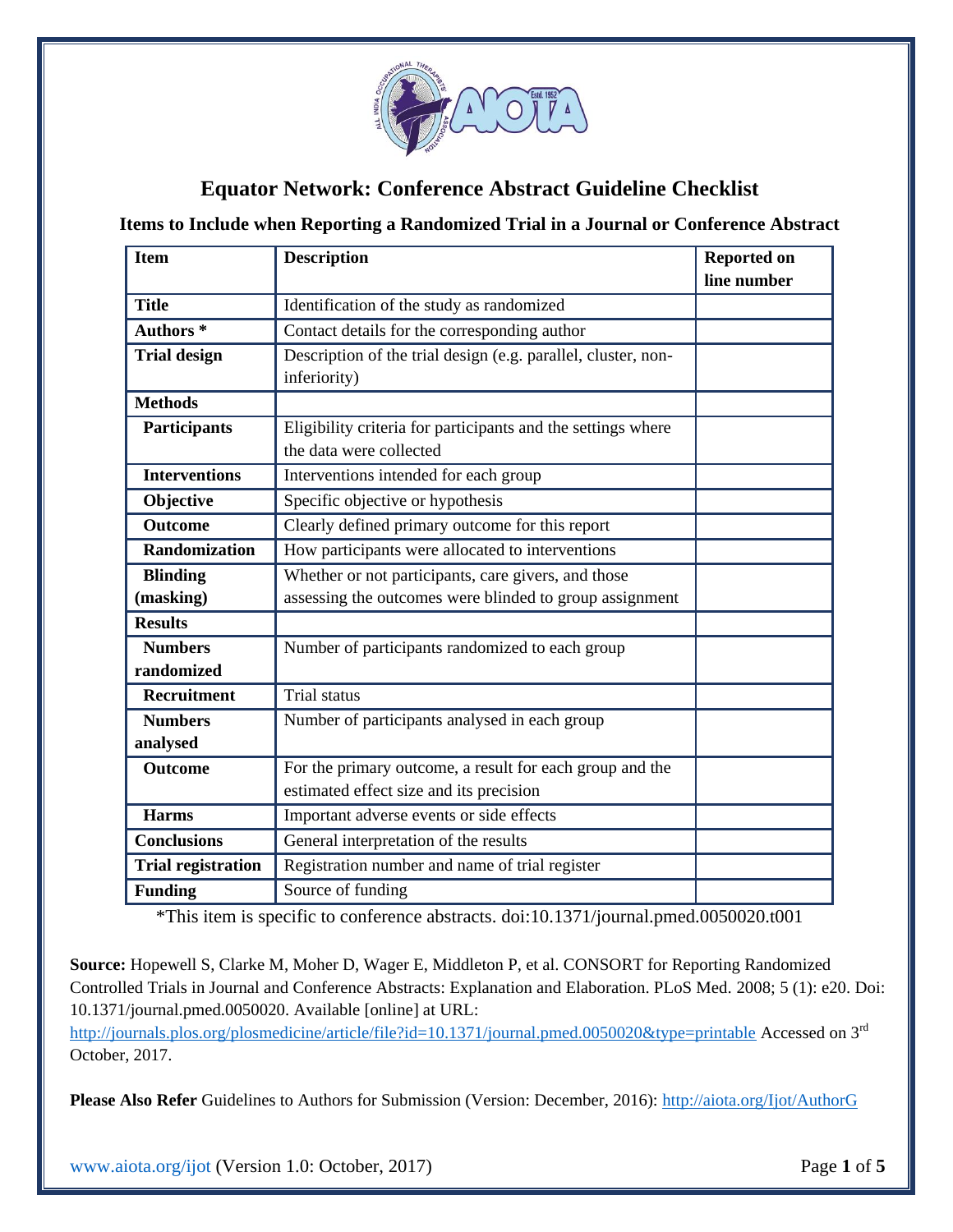

## **Equator Network: Conference Abstract Guideline Checklist**

**Items to Include when Reporting a Randomized Trial in a Journal or Conference Abstract**

| <b>Item</b>               | <b>Description</b>                                            | <b>Reported on</b><br>line number |
|---------------------------|---------------------------------------------------------------|-----------------------------------|
|                           |                                                               |                                   |
| <b>Title</b>              | Identification of the study as randomized                     |                                   |
| Authors <sup>*</sup>      | Contact details for the corresponding author                  |                                   |
| <b>Trial design</b>       | Description of the trial design (e.g. parallel, cluster, non- |                                   |
|                           | inferiority)                                                  |                                   |
| <b>Methods</b>            |                                                               |                                   |
| <b>Participants</b>       | Eligibility criteria for participants and the settings where  |                                   |
|                           | the data were collected                                       |                                   |
| <b>Interventions</b>      | Interventions intended for each group                         |                                   |
| Objective                 | Specific objective or hypothesis                              |                                   |
| <b>Outcome</b>            | Clearly defined primary outcome for this report               |                                   |
| Randomization             | How participants were allocated to interventions              |                                   |
| <b>Blinding</b>           | Whether or not participants, care givers, and those           |                                   |
| (masking)                 | assessing the outcomes were blinded to group assignment       |                                   |
| <b>Results</b>            |                                                               |                                   |
| <b>Numbers</b>            | Number of participants randomized to each group               |                                   |
| randomized                |                                                               |                                   |
| <b>Recruitment</b>        | Trial status                                                  |                                   |
| <b>Numbers</b>            | Number of participants analysed in each group                 |                                   |
| analysed                  |                                                               |                                   |
| <b>Outcome</b>            | For the primary outcome, a result for each group and the      |                                   |
|                           | estimated effect size and its precision                       |                                   |
| <b>Harms</b>              | Important adverse events or side effects                      |                                   |
| <b>Conclusions</b>        | General interpretation of the results                         |                                   |
| <b>Trial registration</b> | Registration number and name of trial register                |                                   |
| <b>Funding</b>            | Source of funding                                             |                                   |

\*This item is specific to conference abstracts. doi:10.1371/journal.pmed.0050020.t001

**Source:** Hopewell S, Clarke M, Moher D, Wager E, Middleton P, et al. CONSORT for Reporting Randomized Controlled Trials in Journal and Conference Abstracts: Explanation and Elaboration. PLoS Med. 2008; 5 (1): e20. Doi: 10.1371/journal.pmed.0050020. Available [online] at URL:

<http://journals.plos.org/plosmedicine/article/file?id=10.1371/journal.pmed.0050020&type=printable> Accessed on 3<sup>rd</sup> October, 2017.

**Please Also Refer** Guidelines to Authors for Submission (Version: December, 2016):<http://aiota.org/Ijot/AuthorG>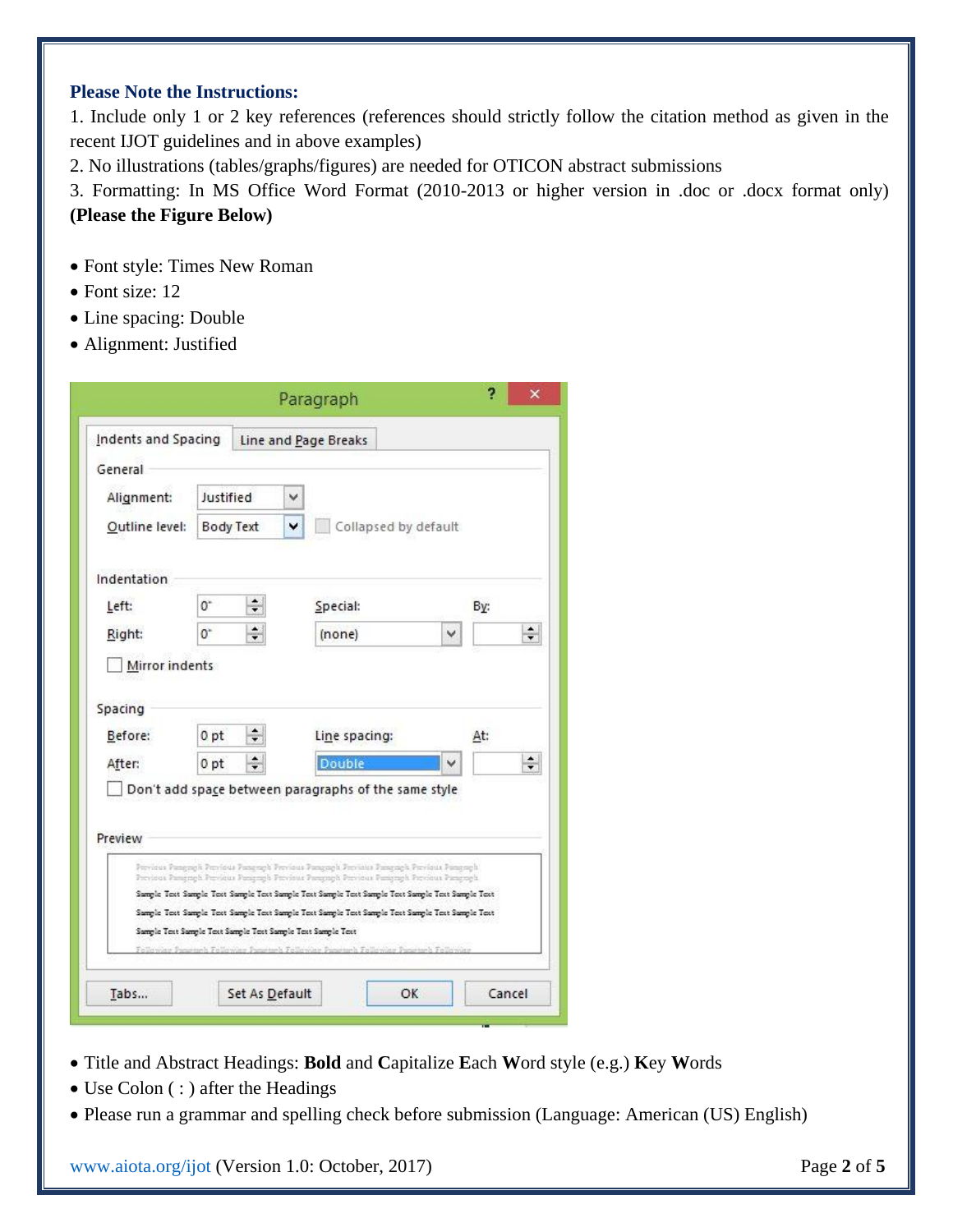## **Please Note the Instructions:**

1. Include only 1 or 2 key references (references should strictly follow the citation method as given in the recent IJOT guidelines and in above examples)

2. No illustrations (tables/graphs/figures) are needed for OTICON abstract submissions

3. Formatting: In MS Office Word Format (2010-2013 or higher version in .doc or .docx format only) **(Please the Figure Below)**

- Font style: Times New Roman
- Font size: 12
- Line spacing: Double
- Alignment: Justified

| Indents and Spacing                                         |                        | Line and Page Breaks |   |                                                                                                                                                                                                                                                                                                                                                                                         |   |     |        |
|-------------------------------------------------------------|------------------------|----------------------|---|-----------------------------------------------------------------------------------------------------------------------------------------------------------------------------------------------------------------------------------------------------------------------------------------------------------------------------------------------------------------------------------------|---|-----|--------|
| General                                                     |                        |                      |   |                                                                                                                                                                                                                                                                                                                                                                                         |   |     |        |
| Alignment:                                                  | Justified<br>Body Text |                      | v |                                                                                                                                                                                                                                                                                                                                                                                         |   |     |        |
| Outline level:                                              |                        |                      | v | Collapsed by default                                                                                                                                                                                                                                                                                                                                                                    |   |     |        |
| Indentation                                                 |                        |                      |   |                                                                                                                                                                                                                                                                                                                                                                                         |   |     |        |
| Left:                                                       | 0"                     | ۰<br>٠               |   | Special:                                                                                                                                                                                                                                                                                                                                                                                |   | By: |        |
| Right:                                                      | $0+$                   | $\div$               |   | (none)                                                                                                                                                                                                                                                                                                                                                                                  | v |     | $\div$ |
| Mirror indents                                              |                        |                      |   |                                                                                                                                                                                                                                                                                                                                                                                         |   |     |        |
| Spacing<br>Before:                                          | 0 pt                   |                      |   | Line spacing:                                                                                                                                                                                                                                                                                                                                                                           |   | At: |        |
| After:                                                      | 0 pt                   | $\div$               |   | <b>Double</b>                                                                                                                                                                                                                                                                                                                                                                           |   |     | $\div$ |
| Preview                                                     |                        |                      |   | Don't add space between paragraphs of the same style                                                                                                                                                                                                                                                                                                                                    |   |     |        |
| Sample Text Sample Text Sample Text Sample Text Sample Text |                        |                      |   | Pervisus Pangngh Pervisus Pangngh Pervisus Pangngh Pervisus Pangngh Pervisus Pangngh<br>Province Pamgrayh Province Pamgrayh Province Pamgrayh Province Pamgrayh Province Pamgrayh<br>Sample Text Sample Text Sample Text Sample Text Sample Text Sample Text Sample Text Sample Text<br>Sample Text Sample Text Sample Text Sample Text Sample Text Sample Text Sample Text Sample Text |   |     |        |

- Title and Abstract Headings: **Bold** and **C**apitalize **E**ach **W**ord style (e.g.) **K**ey **W**ords
- Use Colon (:) after the Headings
- Please run a grammar and spelling check before submission (Language: American (US) English)

[www.aiota.org/ijot](http://www.aiota.org/ijot) (Version 1.0: October, 2017) Page **2** of **5**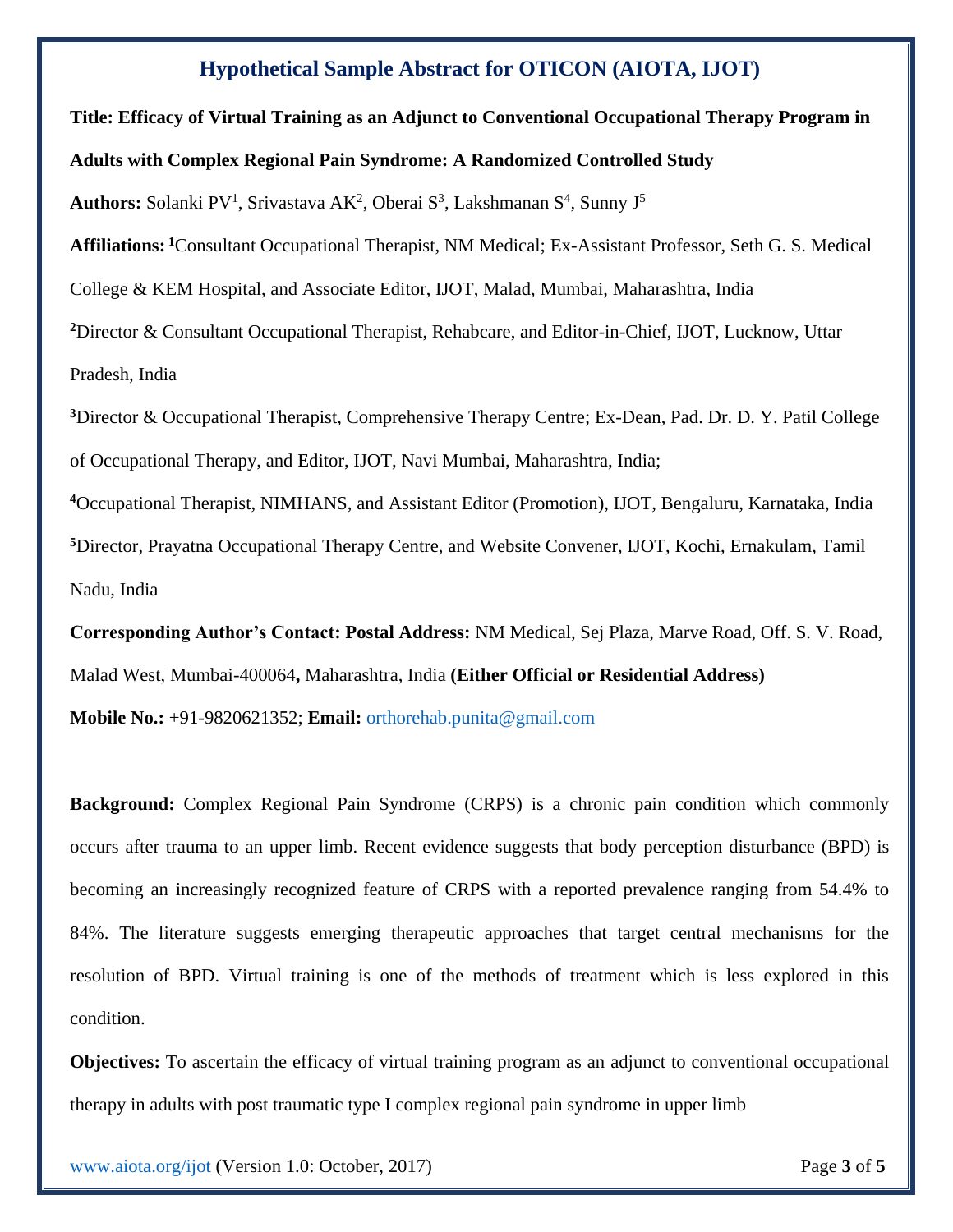## **Hypothetical Sample Abstract for OTICON (AIOTA, IJOT)**

**Title: Efficacy of Virtual Training as an Adjunct to Conventional Occupational Therapy Program in Adults with Complex Regional Pain Syndrome: A Randomized Controlled Study**

Authors: Solanki PV<sup>1</sup>, Srivastava AK<sup>2</sup>, Oberai S<sup>3</sup>, Lakshmanan S<sup>4</sup>, Sunny J<sup>5</sup>

**Affiliations: <sup>1</sup>**Consultant Occupational Therapist, NM Medical; Ex-Assistant Professor, Seth G. S. Medical

College & KEM Hospital, and Associate Editor, IJOT, Malad, Mumbai, Maharashtra, India

**<sup>2</sup>**Director & Consultant Occupational Therapist, Rehabcare, and Editor-in-Chief, IJOT, Lucknow, Uttar Pradesh, India

**<sup>3</sup>**Director & Occupational Therapist, Comprehensive Therapy Centre; Ex-Dean, Pad. Dr. D. Y. Patil College of Occupational Therapy, and Editor, IJOT, Navi Mumbai, Maharashtra, India;

**<sup>4</sup>**Occupational Therapist, NIMHANS, and Assistant Editor (Promotion), IJOT, Bengaluru, Karnataka, India **<sup>5</sup>**Director, Prayatna Occupational Therapy Centre, and Website Convener, IJOT, Kochi, Ernakulam, Tamil Nadu, India

**Corresponding Author's Contact: Postal Address:** NM Medical, Sej Plaza, Marve Road, Off. S. V. Road, Malad West, Mumbai-400064**,** Maharashtra, India **(Either Official or Residential Address)**

**Mobile No.:** +91-9820621352; **Email:** [orthorehab.punita@gmail.com](mailto:orthorehab.punita@gmail.com)

**Background:** Complex Regional Pain Syndrome (CRPS) is a chronic pain condition which commonly occurs after trauma to an upper limb. Recent evidence suggests that body perception disturbance (BPD) is becoming an increasingly recognized feature of CRPS with a reported prevalence ranging from 54.4% to 84%. The literature suggests emerging therapeutic approaches that target central mechanisms for the resolution of BPD. Virtual training is one of the methods of treatment which is less explored in this condition.

**Objectives:** To ascertain the efficacy of virtual training program as an adjunct to conventional occupational therapy in adults with post traumatic type I complex regional pain syndrome in upper limb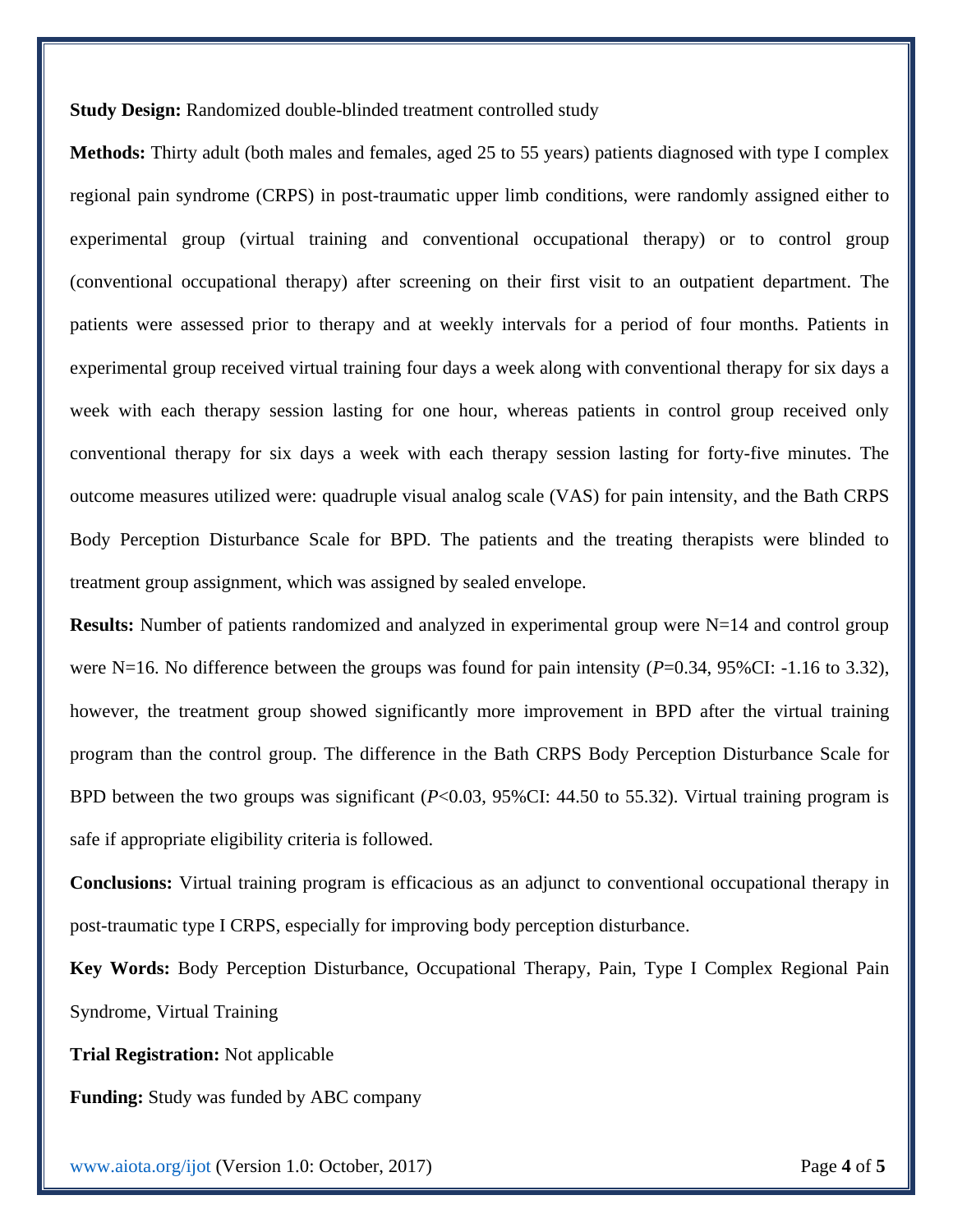**Study Design:** Randomized double-blinded treatment controlled study

**Methods:** Thirty adult (both males and females, aged 25 to 55 years) patients diagnosed with type I complex regional pain syndrome (CRPS) in post-traumatic upper limb conditions, were randomly assigned either to experimental group (virtual training and conventional occupational therapy) or to control group (conventional occupational therapy) after screening on their first visit to an outpatient department. The patients were assessed prior to therapy and at weekly intervals for a period of four months. Patients in experimental group received virtual training four days a week along with conventional therapy for six days a week with each therapy session lasting for one hour, whereas patients in control group received only conventional therapy for six days a week with each therapy session lasting for forty-five minutes. The outcome measures utilized were: quadruple visual analog scale (VAS) for pain intensity, and the Bath CRPS Body Perception Disturbance Scale for BPD. The patients and the treating therapists were blinded to treatment group assignment, which was assigned by sealed envelope.

**Results:** Number of patients randomized and analyzed in experimental group were N=14 and control group were N=16. No difference between the groups was found for pain intensity  $(P=0.34, 95\%$ CI: -1.16 to 3.32), however, the treatment group showed significantly more improvement in BPD after the virtual training program than the control group. The difference in the Bath CRPS Body Perception Disturbance Scale for BPD between the two groups was significant (*P*<0.03, 95%CI: 44.50 to 55.32). Virtual training program is safe if appropriate eligibility criteria is followed.

**Conclusions:** Virtual training program is efficacious as an adjunct to conventional occupational therapy in post-traumatic type I CRPS, especially for improving body perception disturbance.

**Key Words:** Body Perception Disturbance, Occupational Therapy, Pain, Type I Complex Regional Pain Syndrome, Virtual Training

**Trial Registration:** Not applicable

**Funding:** Study was funded by ABC company

[www.aiota.org/ijot](http://www.aiota.org/ijot) (Version 1.0: October, 2017) Page **4** of **5**